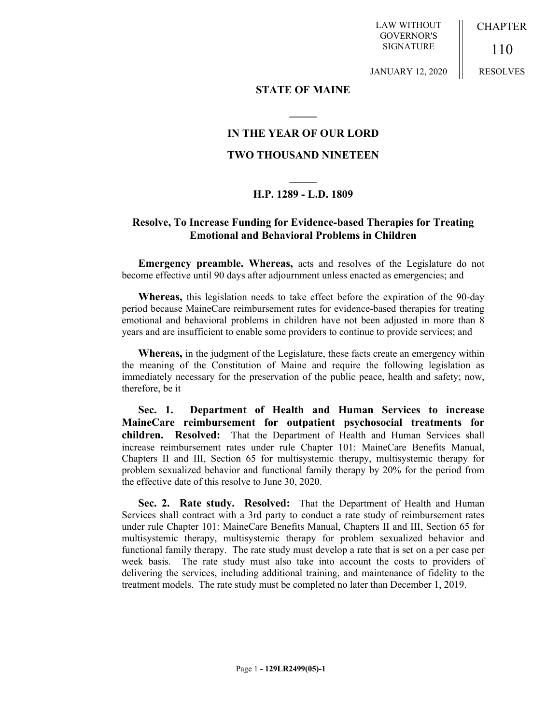LAW WITHOUT GOVERNOR'S SIGNATURE

CHAPTER

110 RESOLVES

JANUARY 12, 2020

#### **STATE OF MAINE**

**\_\_\_\_\_**

## **IN THE YEAR OF OUR LORD**

### **TWO THOUSAND NINETEEN**

# **\_\_\_\_\_ H.P. 1289 - L.D. 1809**

## **Resolve, To Increase Funding for Evidence-based Therapies for Treating Emotional and Behavioral Problems in Children**

**Emergency preamble. Whereas,** acts and resolves of the Legislature do not become effective until 90 days after adjournment unless enacted as emergencies; and

**Whereas,** this legislation needs to take effect before the expiration of the 90-day period because MaineCare reimbursement rates for evidence-based therapies for treating emotional and behavioral problems in children have not been adjusted in more than 8 years and are insufficient to enable some providers to continue to provide services; and

**Whereas,** in the judgment of the Legislature, these facts create an emergency within the meaning of the Constitution of Maine and require the following legislation as immediately necessary for the preservation of the public peace, health and safety; now, therefore, be it

**Sec. 1. Department of Health and Human Services to increase MaineCare reimbursement for outpatient psychosocial treatments for children. Resolved:** That the Department of Health and Human Services shall increase reimbursement rates under rule Chapter 101: MaineCare Benefits Manual, Chapters II and III, Section 65 for multisystemic therapy, multisystemic therapy for problem sexualized behavior and functional family therapy by 20% for the period from the effective date of this resolve to June 30, 2020.

**Sec. 2. Rate study. Resolved:** That the Department of Health and Human Services shall contract with a 3rd party to conduct a rate study of reimbursement rates under rule Chapter 101: MaineCare Benefits Manual, Chapters II and III, Section 65 for multisystemic therapy, multisystemic therapy for problem sexualized behavior and functional family therapy. The rate study must develop a rate that is set on a per case per week basis. The rate study must also take into account the costs to providers of delivering the services, including additional training, and maintenance of fidelity to the treatment models. The rate study must be completed no later than December 1, 2019.